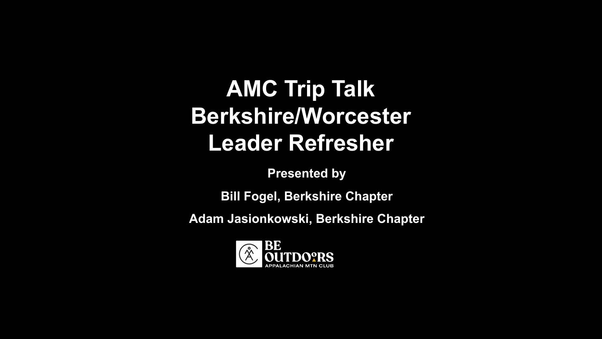### **AMC Trip Talk Berkshire/Worcester Leader Refresher**

**Presented by**

**Bill Fogel, Berkshire Chapter**

**Adam Jasionkowski, Berkshire Chapter**

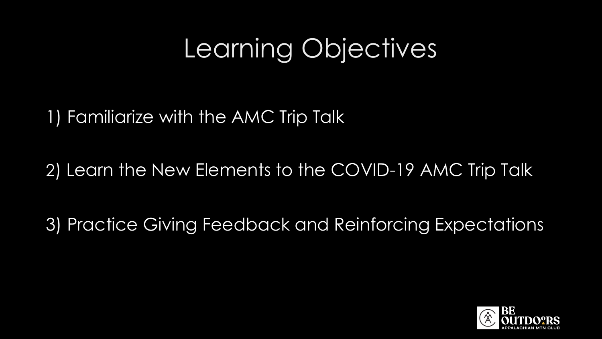# Learning Objectives

1) Familiarize with the AMC Trip Talk

2) Learn the New Elements to the COVID-19 AMC Trip Talk

3) Practice Giving Feedback and Reinforcing Expectations

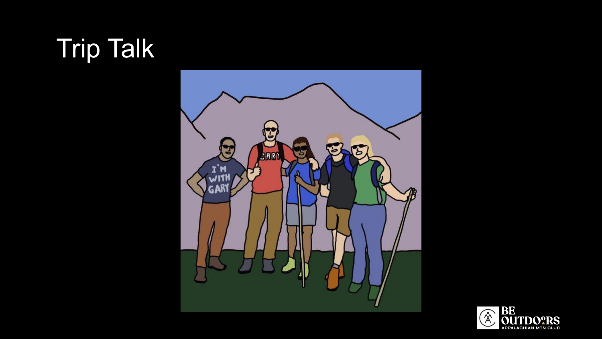# Trip Talk



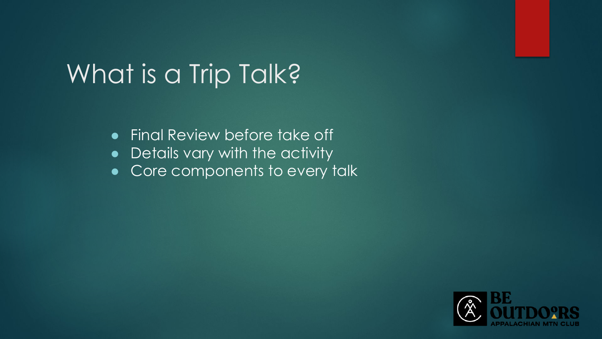# What is a Trip Talk?

- Final Review before take off
- Details vary with the activity
- Core components to every talk

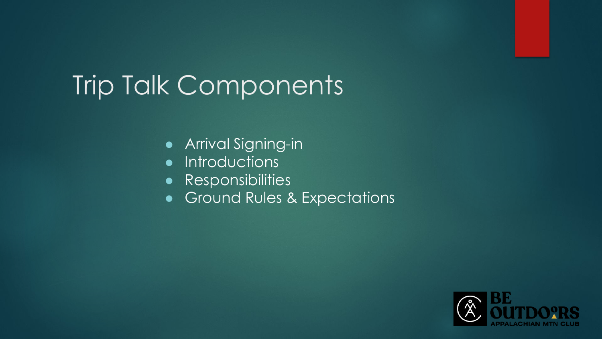# Trip Talk Components

- Arrival Signing-in
- Introductions
- Responsibilities
- Ground Rules & Expectations

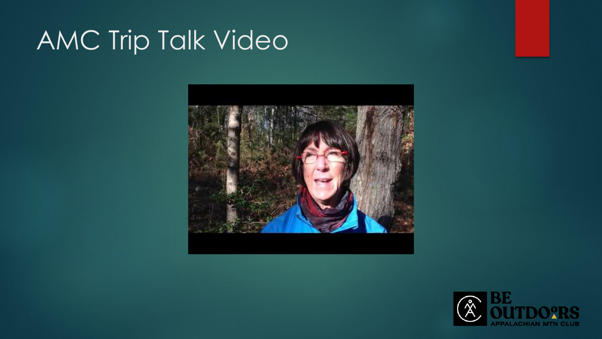# AMC Trip Talk Video



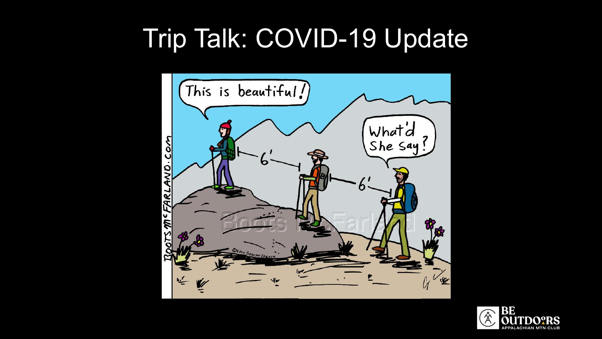# Trip Talk: COVID-19 Update



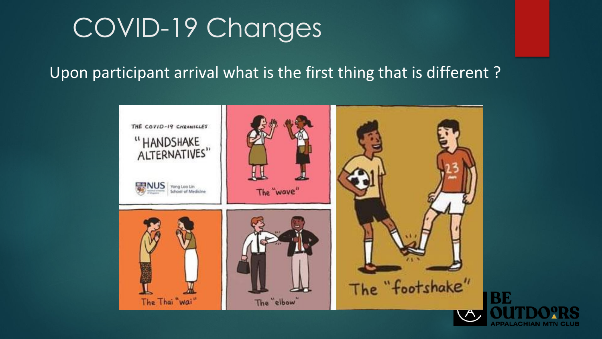# COVID-19 Changes

#### Upon participant arrival what is the first thing that is different ?

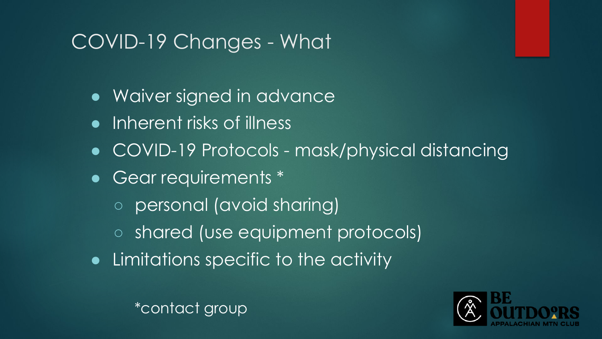### COVID-19 Changes - What

- Waiver signed in advance
- Inherent risks of illness
- COVID-19 Protocols mask/physical distancing
- Gear requirements \*
	- personal (avoid sharing)
	- shared (use equipment protocols)
- Limitations specific to the activity

\*contact group

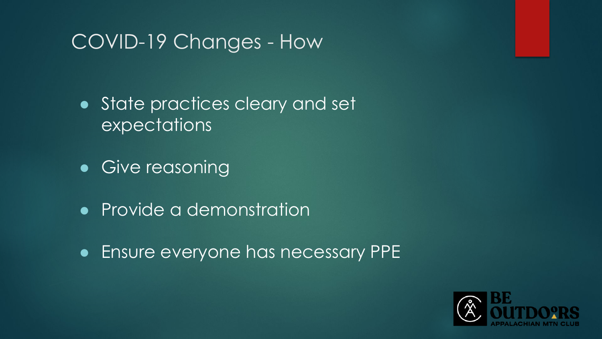#### COVID-19 Changes - How

● State practices cleary and set expectations

• Give reasoning

• Provide a demonstration

● Ensure everyone has necessary PPE

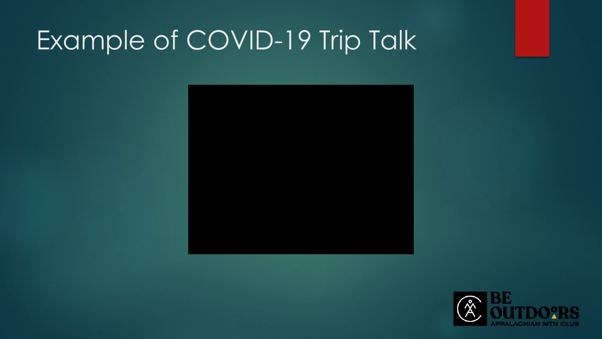# Example of COVID-19 Trip Talk



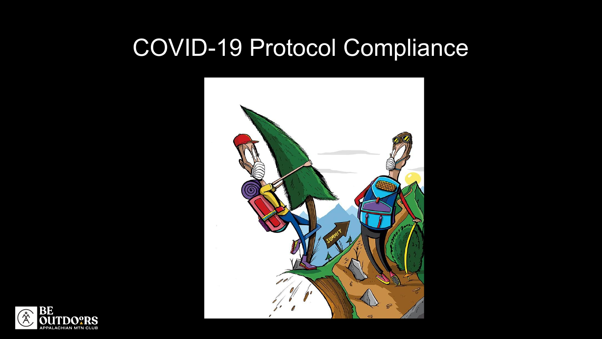# COVID-19 Protocol Compliance



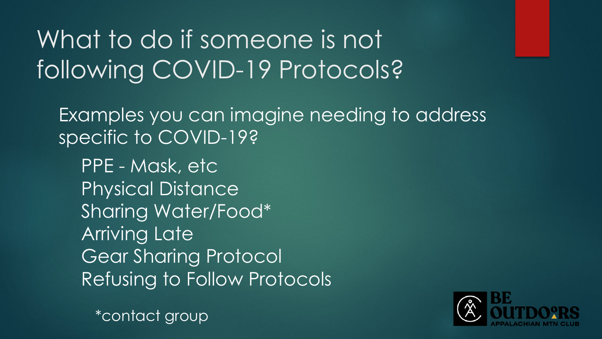# What to do if someone is not following COVID-19 Protocols?

Examples you can imagine needing to address specific to COVID-19?

PPE - Mask, etc Physical Distance Sharing Water/Food\* Arriving Late Gear Sharing Protocol Refusing to Follow Protocols

\*contact group

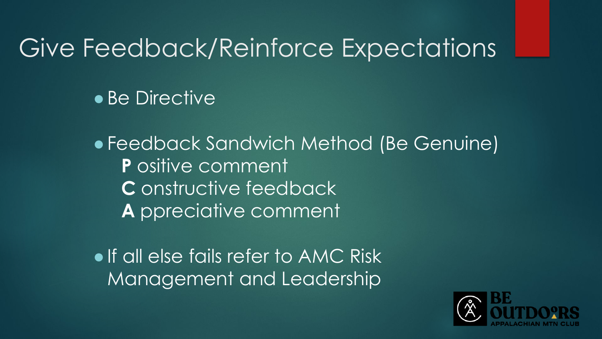### Give Feedback/Reinforce Expectations

**• Be Directive** 

●Feedback Sandwich Method (Be Genuine) **P** ositive comment **C** onstructive feedback **A** ppreciative comment

• If all else fails refer to AMC Risk Management and Leadership

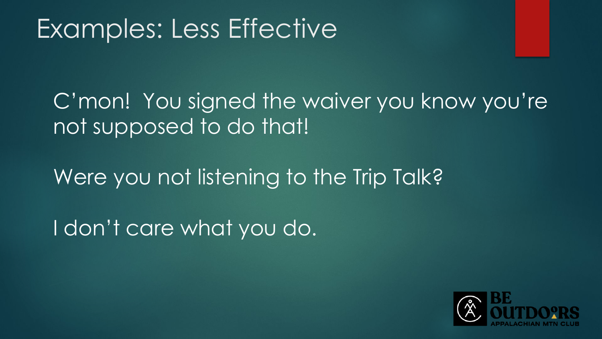# Examples: Less Effective

C'mon! You signed the waiver you know you're not supposed to do that!

Were you not listening to the Trip Talk?

I don't care what you do.

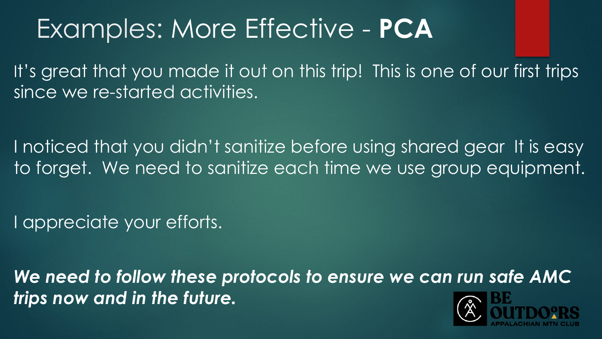# Examples: More Effective - **PCA**

It's great that you made it out on this trip! This is one of our first trips since we re-started activities.

I noticed that you didn't sanitize before using shared gear It is easy to forget. We need to sanitize each time we use group equipment.

I appreciate your efforts.

*We need to follow these protocols to ensure we can run safe AMC trips now and in the future.*

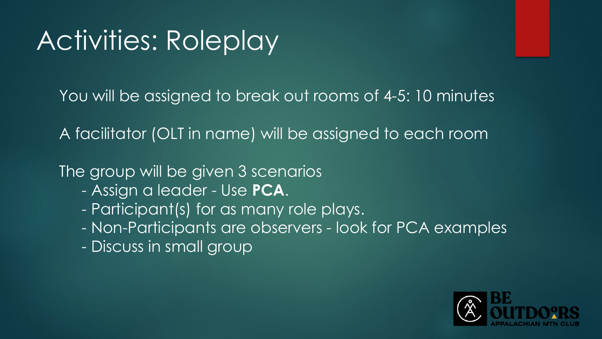# Activities: Roleplay

You will be assigned to break out rooms of 4-5: 10 minutes

A facilitator (OLT in name) will be assigned to each room

The group will be given 3 scenarios

- Assign a leader Use **PCA**.
- Participant(s) for as many role plays.
- Non-Participants are observers look for PCA examples
- Discuss in small group

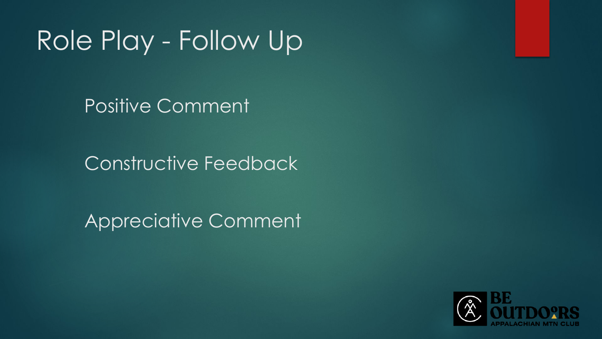# Role Play - Follow Up

Positive Comment

Constructive Feedback

Appreciative Comment

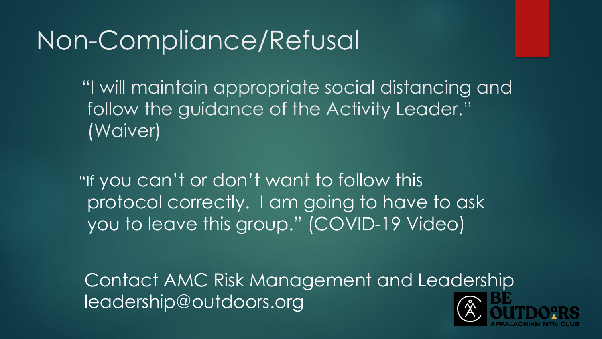# Non-Compliance/Refusal

"I will maintain appropriate social distancing and follow the guidance of the Activity Leader." (Waiver)

"If you can't or don't want to follow this protocol correctly. I am going to have to ask you to leave this group." (COVID-19 Video)

Contact AMC Risk Management and Leadership leadership@outdoors.org